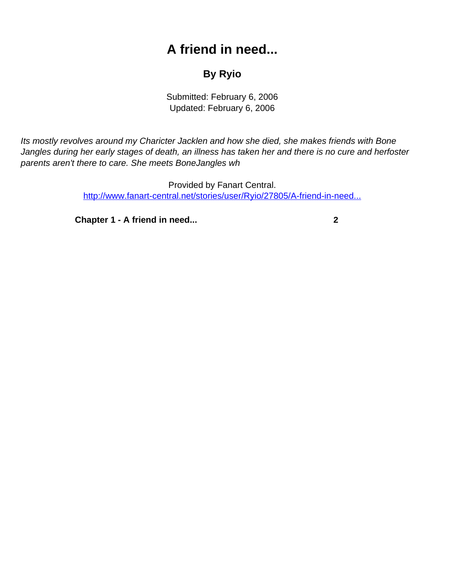## **A friend in need...**

## **By Ryio**

Submitted: February 6, 2006 Updated: February 6, 2006

<span id="page-0-0"></span>Its mostly revolves around my Charicter Jacklen and how she died, she makes friends with Bone Jangles during her early stages of death, an illness has taken her and there is no cure and herfoster parents aren't there to care. She meets BoneJangles wh

> Provided by Fanart Central. [http://www.fanart-central.net/stories/user/Ryio/27805/A-friend-in-need...](#page-0-0)

**[Chapter 1 - A friend in need...](#page-1-0) [2](#page-1-0)**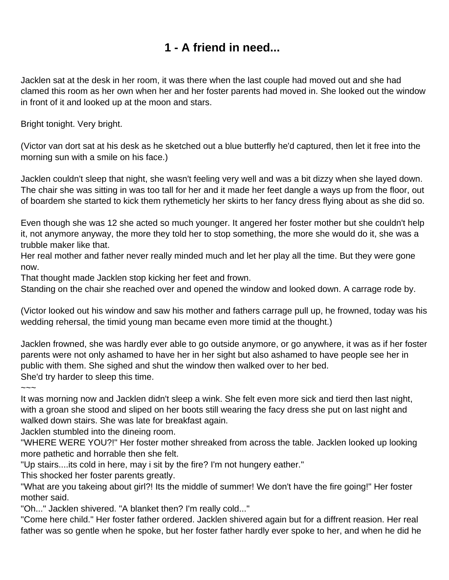## **1 - A friend in need...**

<span id="page-1-0"></span>Jacklen sat at the desk in her room, it was there when the last couple had moved out and she had clamed this room as her own when her and her foster parents had moved in. She looked out the window in front of it and looked up at the moon and stars.

Bright tonight. Very bright.

(Victor van dort sat at his desk as he sketched out a blue butterfly he'd captured, then let it free into the morning sun with a smile on his face.)

Jacklen couldn't sleep that night, she wasn't feeling very well and was a bit dizzy when she layed down. The chair she was sitting in was too tall for her and it made her feet dangle a ways up from the floor, out of boardem she started to kick them rythemeticly her skirts to her fancy dress flying about as she did so.

Even though she was 12 she acted so much younger. It angered her foster mother but she couldn't help it, not anymore anyway, the more they told her to stop something, the more she would do it, she was a trubble maker like that.

Her real mother and father never really minded much and let her play all the time. But they were gone now.

That thought made Jacklen stop kicking her feet and frown.

Standing on the chair she reached over and opened the window and looked down. A carrage rode by.

(Victor looked out his window and saw his mother and fathers carrage pull up, he frowned, today was his wedding rehersal, the timid young man became even more timid at the thought.)

Jacklen frowned, she was hardly ever able to go outside anymore, or go anywhere, it was as if her foster parents were not only ashamed to have her in her sight but also ashamed to have people see her in public with them. She sighed and shut the window then walked over to her bed. She'd try harder to sleep this time.

~~~

It was morning now and Jacklen didn't sleep a wink. She felt even more sick and tierd then last night, with a groan she stood and sliped on her boots still wearing the facy dress she put on last night and walked down stairs. She was late for breakfast again.

Jacklen stumbled into the dineing room.

"WHERE WERE YOU?!" Her foster mother shreaked from across the table. Jacklen looked up looking more pathetic and horrable then she felt.

"Up stairs....its cold in here, may i sit by the fire? I'm not hungery eather."

This shocked her foster parents greatly.

"What are you takeing about girl?! Its the middle of summer! We don't have the fire going!" Her foster mother said.

"Oh..." Jacklen shivered. "A blanket then? I'm really cold..."

"Come here child." Her foster father ordered. Jacklen shivered again but for a diffrent reasion. Her real father was so gentle when he spoke, but her foster father hardly ever spoke to her, and when he did he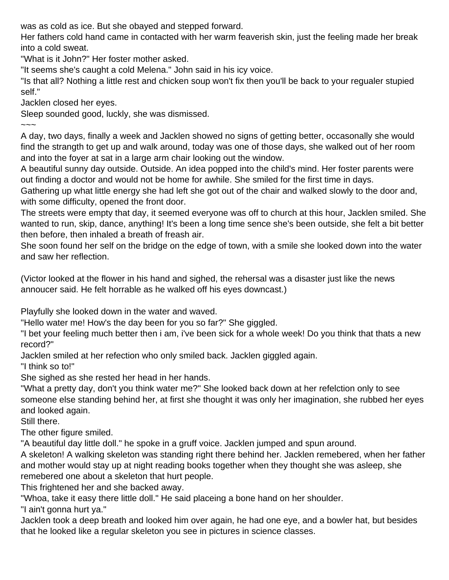was as cold as ice. But she obayed and stepped forward.

Her fathers cold hand came in contacted with her warm feaverish skin, just the feeling made her break into a cold sweat.

"What is it John?" Her foster mother asked.

"It seems she's caught a cold Melena." John said in his icy voice.

"Is that all? Nothing a little rest and chicken soup won't fix then you'll be back to your regualer stupied self."

Jacklen closed her eyes.

Sleep sounded good, luckly, she was dismissed.

 $\sim\sim\sim$ 

A day, two days, finally a week and Jacklen showed no signs of getting better, occasonally she would find the strangth to get up and walk around, today was one of those days, she walked out of her room and into the foyer at sat in a large arm chair looking out the window.

A beautiful sunny day outside. Outside. An idea popped into the child's mind. Her foster parents were out finding a doctor and would not be home for awhile. She smiled for the first time in days.

Gathering up what little energy she had left she got out of the chair and walked slowly to the door and, with some difficulty, opened the front door.

The streets were empty that day, it seemed everyone was off to church at this hour, Jacklen smiled. She wanted to run, skip, dance, anything! It's been a long time sence she's been outside, she felt a bit better then before, then inhaled a breath of freash air.

She soon found her self on the bridge on the edge of town, with a smile she looked down into the water and saw her reflection.

(Victor looked at the flower in his hand and sighed, the rehersal was a disaster just like the news annoucer said. He felt horrable as he walked off his eyes downcast.)

Playfully she looked down in the water and waved.

"Hello water me! How's the day been for you so far?" She giggled.

"I bet your feeling much better then i am, i've been sick for a whole week! Do you think that thats a new record?"

Jacklen smiled at her refection who only smiled back. Jacklen giggled again.

"I think so to!"

She sighed as she rested her head in her hands.

"What a pretty day, don't you think water me?" She looked back down at her refelction only to see someone else standing behind her, at first she thought it was only her imagination, she rubbed her eyes and looked again.

Still there.

The other figure smiled.

"A beautiful day little doll." he spoke in a gruff voice. Jacklen jumped and spun around.

A skeleton! A walking skeleton was standing right there behind her. Jacklen remebered, when her father and mother would stay up at night reading books together when they thought she was asleep, she remebered one about a skeleton that hurt people.

This frightened her and she backed away.

"Whoa, take it easy there little doll." He said placeing a bone hand on her shoulder.

"I ain't gonna hurt ya."

Jacklen took a deep breath and looked him over again, he had one eye, and a bowler hat, but besides that he looked like a regular skeleton you see in pictures in science classes.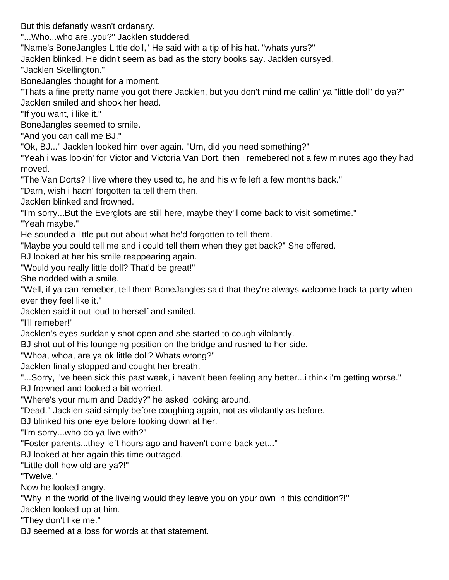But this defanatly wasn't ordanary.

"...Who...who are..you?" Jacklen studdered.

"Name's BoneJangles Little doll," He said with a tip of his hat. "whats yurs?"

Jacklen blinked. He didn't seem as bad as the story books say. Jacklen cursyed.

"Jacklen Skellington."

BoneJangles thought for a moment.

"Thats a fine pretty name you got there Jacklen, but you don't mind me callin' ya "little doll" do ya?" Jacklen smiled and shook her head.

"If you want, i like it."

BoneJangles seemed to smile.

"And you can call me BJ."

"Ok, BJ..." Jacklen looked him over again. "Um, did you need something?"

"Yeah i was lookin' for Victor and Victoria Van Dort, then i remebered not a few minutes ago they had moved.

"The Van Dorts? I live where they used to, he and his wife left a few months back."

"Darn, wish i hadn' forgotten ta tell them then.

Jacklen blinked and frowned.

"I'm sorry...But the Everglots are still here, maybe they'll come back to visit sometime."

"Yeah maybe."

He sounded a little put out about what he'd forgotten to tell them.

"Maybe you could tell me and i could tell them when they get back?" She offered.

BJ looked at her his smile reappearing again.

"Would you really little doll? That'd be great!"

She nodded with a smile.

"Well, if ya can remeber, tell them BoneJangles said that they're always welcome back ta party when ever they feel like it."

Jacklen said it out loud to herself and smiled.

"I'll remeber!"

Jacklen's eyes suddanly shot open and she started to cough vilolantly.

BJ shot out of his loungeing position on the bridge and rushed to her side.

"Whoa, whoa, are ya ok little doll? Whats wrong?"

Jacklen finally stopped and cought her breath.

"...Sorry, i've been sick this past week, i haven't been feeling any better...i think i'm getting worse." BJ frowned and looked a bit worried.

"Where's your mum and Daddy?" he asked looking around.

"Dead." Jacklen said simply before coughing again, not as vilolantly as before.

BJ blinked his one eye before looking down at her.

"I'm sorry...who do ya live with?"

"Foster parents...they left hours ago and haven't come back yet..."

BJ looked at her again this time outraged.

"Little doll how old are ya?!"

"Twelve."

Now he looked angry.

"Why in the world of the liveing would they leave you on your own in this condition?!"

Jacklen looked up at him.

"They don't like me."

BJ seemed at a loss for words at that statement.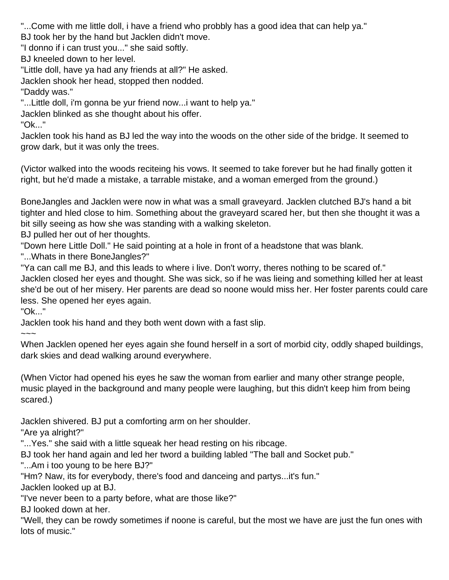"...Come with me little doll, i have a friend who probbly has a good idea that can help ya."

BJ took her by the hand but Jacklen didn't move.

"I donno if i can trust you..." she said softly.

BJ kneeled down to her level.

"Little doll, have ya had any friends at all?" He asked.

Jacklen shook her head, stopped then nodded.

"Daddy was."

"...Little doll, i'm gonna be yur friend now...i want to help ya."

Jacklen blinked as she thought about his offer.

"Ok..."

Jacklen took his hand as BJ led the way into the woods on the other side of the bridge. It seemed to grow dark, but it was only the trees.

(Victor walked into the woods reciteing his vows. It seemed to take forever but he had finally gotten it right, but he'd made a mistake, a tarrable mistake, and a woman emerged from the ground.)

BoneJangles and Jacklen were now in what was a small graveyard. Jacklen clutched BJ's hand a bit tighter and hled close to him. Something about the graveyard scared her, but then she thought it was a bit silly seeing as how she was standing with a walking skeleton.

BJ pulled her out of her thoughts.

"Down here Little Doll." He said pointing at a hole in front of a headstone that was blank.

"...Whats in there BoneJangles?"

"Ya can call me BJ, and this leads to where i live. Don't worry, theres nothing to be scared of." Jacklen closed her eyes and thought. She was sick, so if he was lieing and something killed her at least she'd be out of her misery. Her parents are dead so noone would miss her. Her foster parents could care less. She opened her eyes again.

"Ok..."

Jacklen took his hand and they both went down with a fast slip.

 $\sim\sim\sim$ 

When Jacklen opened her eyes again she found herself in a sort of morbid city, oddly shaped buildings, dark skies and dead walking around everywhere.

(When Victor had opened his eyes he saw the woman from earlier and many other strange people, music played in the background and many people were laughing, but this didn't keep him from being scared.)

Jacklen shivered. BJ put a comforting arm on her shoulder.

"Are ya alright?"

"...Yes." she said with a little squeak her head resting on his ribcage.

BJ took her hand again and led her tword a building labled "The ball and Socket pub."

"...Am i too young to be here BJ?"

"Hm? Naw, its for everybody, there's food and danceing and partys...it's fun."

Jacklen looked up at BJ.

"I've never been to a party before, what are those like?"

BJ looked down at her.

"Well, they can be rowdy sometimes if noone is careful, but the most we have are just the fun ones with lots of music."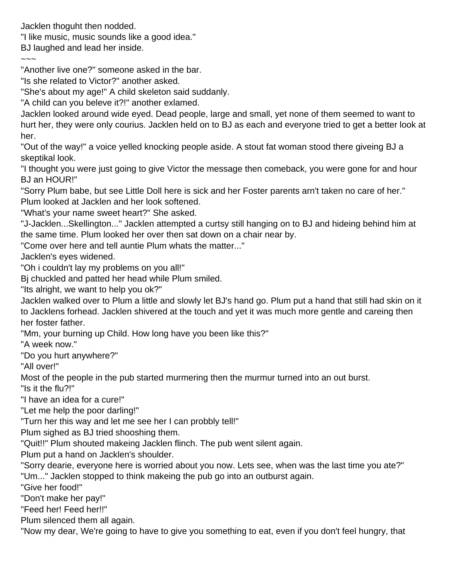Jacklen thoguht then nodded.

"I like music, music sounds like a good idea."

BJ laughed and lead her inside.

 $\sim\sim\sim$ 

"Another live one?" someone asked in the bar.

"Is she related to Victor?" another asked.

"She's about my age!" A child skeleton said suddanly.

"A child can you beleve it?!" another exlamed.

Jacklen looked around wide eyed. Dead people, large and small, yet none of them seemed to want to hurt her, they were only courius. Jacklen held on to BJ as each and everyone tried to get a better look at her.

"Out of the way!" a voice yelled knocking people aside. A stout fat woman stood there giveing BJ a skeptikal look.

"I thought you were just going to give Victor the message then comeback, you were gone for and hour BJ an HOUR!"

"Sorry Plum babe, but see Little Doll here is sick and her Foster parents arn't taken no care of her." Plum looked at Jacklen and her look softened.

"What's your name sweet heart?" She asked.

"J-Jacklen...Skellington..." Jacklen attempted a curtsy still hanging on to BJ and hideing behind him at the same time. Plum looked her over then sat down on a chair near by.

"Come over here and tell auntie Plum whats the matter..."

Jacklen's eyes widened.

"Oh i couldn't lay my problems on you all!"

Bj chuckled and patted her head while Plum smiled.

"Its alright, we want to help you ok?"

Jacklen walked over to Plum a little and slowly let BJ's hand go. Plum put a hand that still had skin on it to Jacklens forhead. Jacklen shivered at the touch and yet it was much more gentle and careing then her foster father.

"Mm, your burning up Child. How long have you been like this?"

"A week now."

"Do you hurt anywhere?"

"All over!"

Most of the people in the pub started murmering then the murmur turned into an out burst.

"Is it the flu?!"

"I have an idea for a cure!"

"Let me help the poor darling!"

"Turn her this way and let me see her I can probbly tell!"

Plum sighed as BJ tried shooshing them.

"Quit!!" Plum shouted makeing Jacklen flinch. The pub went silent again.

Plum put a hand on Jacklen's shoulder.

"Sorry dearie, everyone here is worried about you now. Lets see, when was the last time you ate?"

"Um..." Jacklen stopped to think makeing the pub go into an outburst again.

"Give her food!"

"Don't make her pay!"

"Feed her! Feed her!!"

Plum silenced them all again.

"Now my dear, We're going to have to give you something to eat, even if you don't feel hungry, that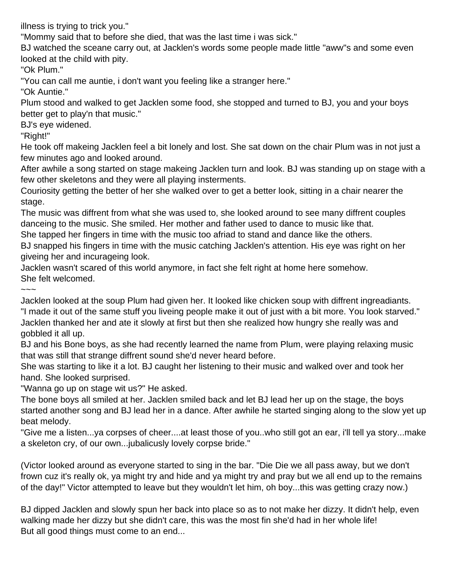illness is trying to trick you."

"Mommy said that to before she died, that was the last time i was sick."

BJ watched the sceane carry out, at Jacklen's words some people made little "aww"s and some even looked at the child with pity.

"Ok Plum."

"You can call me auntie, i don't want you feeling like a stranger here."

"Ok Auntie."

Plum stood and walked to get Jacklen some food, she stopped and turned to BJ, you and your boys better get to play'n that music."

BJ's eye widened.

"Right!"

He took off makeing Jacklen feel a bit lonely and lost. She sat down on the chair Plum was in not just a few minutes ago and looked around.

After awhile a song started on stage makeing Jacklen turn and look. BJ was standing up on stage with a few other skeletons and they were all playing insterments.

Couriosity getting the better of her she walked over to get a better look, sitting in a chair nearer the stage.

The music was diffrent from what she was used to, she looked around to see many diffrent couples danceing to the music. She smiled. Her mother and father used to dance to music like that.

She tapped her fingers in time with the music too afriad to stand and dance like the others.

BJ snapped his fingers in time with the music catching Jacklen's attention. His eye was right on her giveing her and incurageing look.

Jacklen wasn't scared of this world anymore, in fact she felt right at home here somehow. She felt welcomed.

~~~

Jacklen looked at the soup Plum had given her. It looked like chicken soup with diffrent ingreadiants. "I made it out of the same stuff you liveing people make it out of just with a bit more. You look starved." Jacklen thanked her and ate it slowly at first but then she realized how hungry she really was and gobbled it all up.

BJ and his Bone boys, as she had recently learned the name from Plum, were playing relaxing music that was still that strange diffrent sound she'd never heard before.

She was starting to like it a lot. BJ caught her listening to their music and walked over and took her hand. She looked surprised.

"Wanna go up on stage wit us?" He asked.

The bone boys all smiled at her. Jacklen smiled back and let BJ lead her up on the stage, the boys started another song and BJ lead her in a dance. After awhile he started singing along to the slow yet up beat melody.

"Give me a listen...ya corpses of cheer....at least those of you..who still got an ear, i'll tell ya story...make a skeleton cry, of our own...jubalicusly lovely corpse bride."

(Victor looked around as everyone started to sing in the bar. "Die Die we all pass away, but we don't frown cuz it's really ok, ya might try and hide and ya might try and pray but we all end up to the remains of the day!" Victor attempted to leave but they wouldn't let him, oh boy...this was getting crazy now.)

BJ dipped Jacklen and slowly spun her back into place so as to not make her dizzy. It didn't help, even walking made her dizzy but she didn't care, this was the most fin she'd had in her whole life! But all good things must come to an end...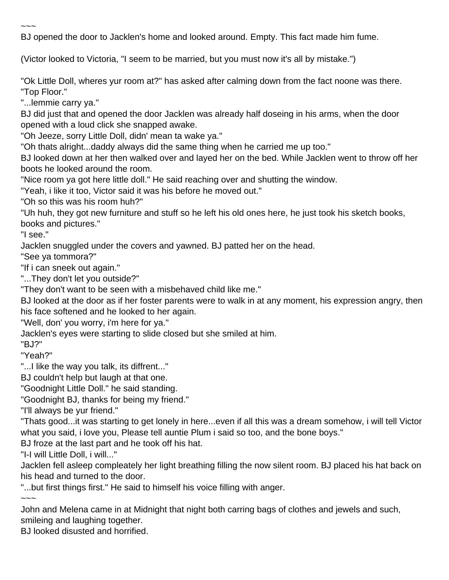BJ opened the door to Jacklen's home and looked around. Empty. This fact made him fume.

(Victor looked to Victoria, "I seem to be married, but you must now it's all by mistake.")

"Ok Little Doll, wheres yur room at?" has asked after calming down from the fact noone was there. "Top Floor."

"...lemmie carry ya."

~~~

BJ did just that and opened the door Jacklen was already half doseing in his arms, when the door opened with a loud click she snapped awake.

"Oh Jeeze, sorry Little Doll, didn' mean ta wake ya."

"Oh thats alright...daddy always did the same thing when he carried me up too."

BJ looked down at her then walked over and layed her on the bed. While Jacklen went to throw off her boots he looked around the room.

"Nice room ya got here little doll." He said reaching over and shutting the window.

"Yeah, i like it too, Victor said it was his before he moved out."

"Oh so this was his room huh?"

"Uh huh, they got new furniture and stuff so he left his old ones here, he just took his sketch books, books and pictures."

"I see."

Jacklen snuggled under the covers and yawned. BJ patted her on the head.

"See ya tommora?"

"If i can sneek out again."

"...They don't let you outside?"

"They don't want to be seen with a misbehaved child like me."

BJ looked at the door as if her foster parents were to walk in at any moment, his expression angry, then his face softened and he looked to her again.

"Well, don' you worry, i'm here for ya."

Jacklen's eyes were starting to slide closed but she smiled at him.

"BJ?"

"Yeah?"

"...I like the way you talk, its diffrent..."

BJ couldn't help but laugh at that one.

"Goodnight Little Doll." he said standing.

"Goodnight BJ, thanks for being my friend."

"I'll always be yur friend."

"Thats good...it was starting to get lonely in here...even if all this was a dream somehow, i will tell Victor what you said, i love you, Please tell auntie Plum i said so too, and the bone boys."

BJ froze at the last part and he took off his hat.

"I-I will Little Doll, i will..."

Jacklen fell asleep compleately her light breathing filling the now silent room. BJ placed his hat back on his head and turned to the door.

"...but first things first." He said to himself his voice filling with anger.

 $\sim\sim\sim$ 

John and Melena came in at Midnight that night both carring bags of clothes and jewels and such, smileing and laughing together.

BJ looked disusted and horrified.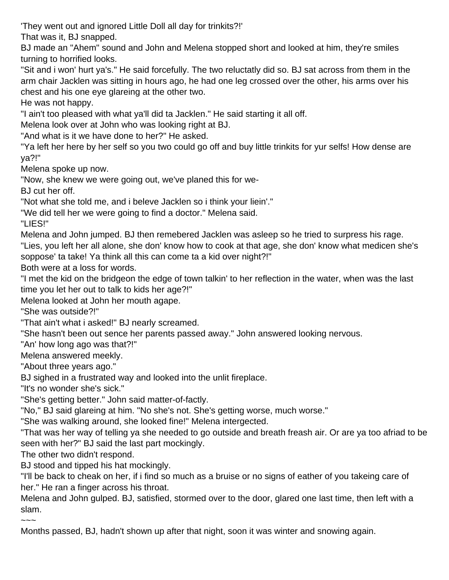'They went out and ignored Little Doll all day for trinkits?!'

That was it, BJ snapped.

BJ made an "Ahem" sound and John and Melena stopped short and looked at him, they're smiles turning to horrified looks.

"Sit and i won' hurt ya's." He said forcefully. The two reluctatly did so. BJ sat across from them in the arm chair Jacklen was sitting in hours ago, he had one leg crossed over the other, his arms over his chest and his one eye glareing at the other two.

He was not happy.

"I ain't too pleased with what ya'll did ta Jacklen." He said starting it all off.

Melena look over at John who was looking right at BJ.

"And what is it we have done to her?" He asked.

"Ya left her here by her self so you two could go off and buy little trinkits for yur selfs! How dense are ya?!"

Melena spoke up now.

"Now, she knew we were going out, we've planed this for we-

BJ cut her off.

"Not what she told me, and i beleve Jacklen so i think your liein'."

"We did tell her we were going to find a doctor." Melena said.

"LIES!"

Melena and John jumped. BJ then remebered Jacklen was asleep so he tried to surpress his rage.

"Lies, you left her all alone, she don' know how to cook at that age, she don' know what medicen she's soppose' ta take! Ya think all this can come ta a kid over night?!"

Both were at a loss for words.

"I met the kid on the bridgeon the edge of town talkin' to her reflection in the water, when was the last time you let her out to talk to kids her age?!"

Melena looked at John her mouth agape.

"She was outside?!"

"That ain't what i asked!" BJ nearly screamed.

"She hasn't been out sence her parents passed away." John answered looking nervous.

"An' how long ago was that?!"

Melena answered meekly.

"About three years ago."

BJ sighed in a frustrated way and looked into the unlit fireplace.

"It's no wonder she's sick."

"She's getting better." John said matter-of-factly.

"No," BJ said glareing at him. "No she's not. She's getting worse, much worse."

"She was walking around, she looked fine!" Melena intergected.

"That was her way of telling ya she needed to go outside and breath freash air. Or are ya too afriad to be seen with her?" BJ said the last part mockingly.

The other two didn't respond.

BJ stood and tipped his hat mockingly.

"I'll be back to cheak on her, if i find so much as a bruise or no signs of eather of you takeing care of her." He ran a finger across his throat.

Melena and John gulped. BJ, satisfied, stormed over to the door, glared one last time, then left with a slam.

 $\sim$   $\sim$ 

Months passed, BJ, hadn't shown up after that night, soon it was winter and snowing again.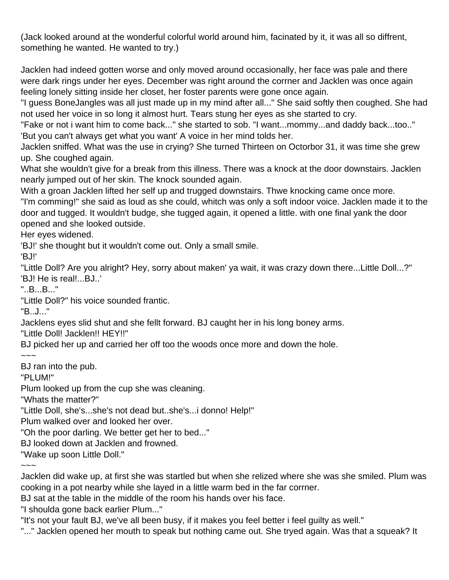(Jack looked around at the wonderful colorful world around him, facinated by it, it was all so diffrent, something he wanted. He wanted to try.)

Jacklen had indeed gotten worse and only moved around occasionally, her face was pale and there were dark rings under her eyes. December was right around the corrner and Jacklen was once again feeling lonely sitting inside her closet, her foster parents were gone once again.

"I guess BoneJangles was all just made up in my mind after all..." She said softly then coughed. She had not used her voice in so long it almost hurt. Tears stung her eyes as she started to cry.

"Fake or not i want him to come back..." she started to sob. "I want...mommy...and daddy back...too.." 'But you can't always get what you want' A voice in her mind tolds her.

Jacklen sniffed. What was the use in crying? She turned Thirteen on Octorbor 31, it was time she grew up. She coughed again.

What she wouldn't give for a break from this illness. There was a knock at the door downstairs. Jacklen nearly jumped out of her skin. The knock sounded again.

With a groan Jacklen lifted her self up and trugged downstairs. Thwe knocking came once more. "I'm comming!" she said as loud as she could, whitch was only a soft indoor voice. Jacklen made it to the door and tugged. It wouldn't budge, she tugged again, it opened a little. with one final yank the door opened and she looked outside.

Her eyes widened.

'BJ!' she thought but it wouldn't come out. Only a small smile.

'BJ!'

"Little Doll? Are you alright? Hey, sorry about maken' ya wait, it was crazy down there...Little Doll...?" 'BJ! He is real!...BJ..'

"..B...B..."

"Little Doll?" his voice sounded frantic.

"B..J..."

Jacklens eyes slid shut and she fellt forward. BJ caught her in his long boney arms.

"Little Doll! Jacklen!! HEY!!"

BJ picked her up and carried her off too the woods once more and down the hole.

 $\sim\sim\sim$ 

BJ ran into the pub.

"PLUM!"

Plum looked up from the cup she was cleaning.

"Whats the matter?"

"Little Doll, she's...she's not dead but..she's...i donno! Help!"

Plum walked over and looked her over.

"Oh the poor darling. We better get her to bed..."

BJ looked down at Jacklen and frowned.

"Wake up soon Little Doll."

 $\sim\sim\sim$ 

Jacklen did wake up, at first she was startled but when she relized where she was she smiled. Plum was cooking in a pot nearby while she layed in a little warm bed in the far corrner.

BJ sat at the table in the middle of the room his hands over his face.

"I shoulda gone back earlier Plum..."

"It's not your fault BJ, we've all been busy, if it makes you feel better i feel guilty as well."

"..." Jacklen opened her mouth to speak but nothing came out. She tryed again. Was that a squeak? It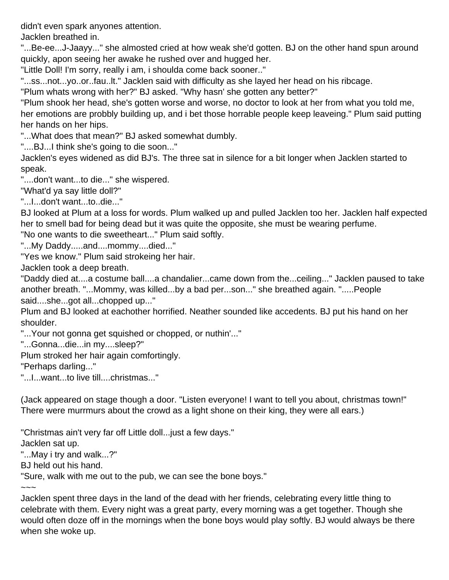didn't even spark anyones attention.

Jacklen breathed in.

"...Be-ee...J-Jaayy..." she almosted cried at how weak she'd gotten. BJ on the other hand spun around quickly, apon seeing her awake he rushed over and hugged her.

"Little Doll! I'm sorry, really i am, i shoulda come back sooner.."

"...ss...not...yo..or..fau..lt." Jacklen said with difficulty as she layed her head on his ribcage.

"Plum whats wrong with her?" BJ asked. "Why hasn' she gotten any better?"

"Plum shook her head, she's gotten worse and worse, no doctor to look at her from what you told me, her emotions are probbly building up, and i bet those horrable people keep leaveing." Plum said putting her hands on her hips.

"...What does that mean?" BJ asked somewhat dumbly.

"....BJ...I think she's going to die soon..."

Jacklen's eyes widened as did BJ's. The three sat in silence for a bit longer when Jacklen started to speak.

"....don't want...to die..." she wispered.

"What'd ya say little doll?"

"...I...don't want...to..die..."

BJ looked at Plum at a loss for words. Plum walked up and pulled Jacklen too her. Jacklen half expected her to smell bad for being dead but it was quite the opposite, she must be wearing perfume.

"No one wants to die sweetheart..." Plum said softly.

"...My Daddy.....and....mommy....died..."

"Yes we know." Plum said strokeing her hair.

Jacklen took a deep breath.

"Daddy died at....a costume ball....a chandalier...came down from the...ceiling..." Jacklen paused to take another breath. "...Mommy, was killed...by a bad per...son..." she breathed again. ".....People said....she...got all...chopped up..."

Plum and BJ looked at eachother horrified. Neather sounded like accedents. BJ put his hand on her shoulder.

"...Your not gonna get squished or chopped, or nuthin'..."

"...Gonna...die...in my....sleep?"

Plum stroked her hair again comfortingly.

"Perhaps darling..."

"...I...want...to live till....christmas..."

(Jack appeared on stage though a door. "Listen everyone! I want to tell you about, christmas town!" There were murrmurs about the crowd as a light shone on their king, they were all ears.)

"Christmas ain't very far off Little doll...just a few days."

Jacklen sat up.

"...May i try and walk...?"

BJ held out his hand.

"Sure, walk with me out to the pub, we can see the bone boys."

 $\sim$ ~~

Jacklen spent three days in the land of the dead with her friends, celebrating every little thing to celebrate with them. Every night was a great party, every morning was a get together. Though she would often doze off in the mornings when the bone boys would play softly. BJ would always be there when she woke up.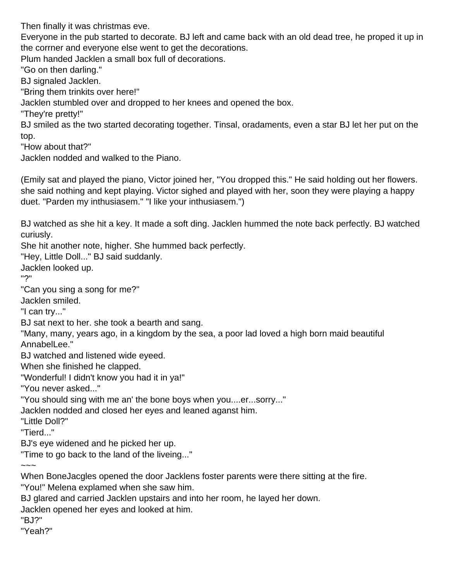Then finally it was christmas eve.

Everyone in the pub started to decorate. BJ left and came back with an old dead tree, he proped it up in the corrner and everyone else went to get the decorations.

Plum handed Jacklen a small box full of decorations.

"Go on then darling."

BJ signaled Jacklen.

"Bring them trinkits over here!"

Jacklen stumbled over and dropped to her knees and opened the box.

"They're pretty!"

BJ smiled as the two started decorating together. Tinsal, oradaments, even a star BJ let her put on the top.

"How about that?"

Jacklen nodded and walked to the Piano.

(Emily sat and played the piano, Victor joined her, "You dropped this." He said holding out her flowers. she said nothing and kept playing. Victor sighed and played with her, soon they were playing a happy duet. "Parden my inthusiasem." "I like your inthusiasem.")

BJ watched as she hit a key. It made a soft ding. Jacklen hummed the note back perfectly. BJ watched curiusly.

She hit another note, higher. She hummed back perfectly.

"Hey, Little Doll..." BJ said suddanly.

Jacklen looked up.

"?"

"Can you sing a song for me?"

Jacklen smiled.

"I can try..."

BJ sat next to her. she took a bearth and sang.

"Many, many, years ago, in a kingdom by the sea, a poor lad loved a high born maid beautiful AnnabelLee."

BJ watched and listened wide eyeed.

When she finished he clapped.

"Wonderful! I didn't know you had it in ya!"

"You never asked..."

"You should sing with me an' the bone boys when you....er...sorry..."

Jacklen nodded and closed her eyes and leaned aganst him.

"Little Doll?"

"Tierd..."

BJ's eye widened and he picked her up.

"Time to go back to the land of the liveing..."

 $\sim\sim\sim$ 

When BoneJacgles opened the door Jacklens foster parents were there sitting at the fire.

"You!" Melena explamed when she saw him.

BJ glared and carried Jacklen upstairs and into her room, he layed her down.

Jacklen opened her eyes and looked at him.

"BJ?"

"Yeah?"